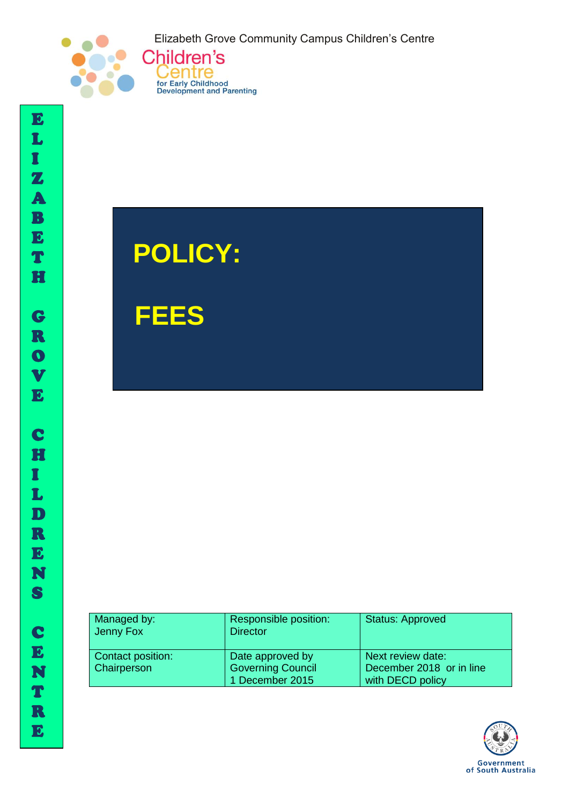Elizabeth Grove Community Campus Children's Centre



I



Centre

for Early Childhood<br>Development and Parenting

 **FEES**

| Managed by:<br>Jenny Fox | Responsible position:<br><b>Director</b> | <b>Status: Approved</b>  |
|--------------------------|------------------------------------------|--------------------------|
| Contact position:        | Date approved by                         | Next review date:        |
| <b>Chairperson</b>       | <b>Governing Council</b>                 | December 2018 or in line |
|                          | 1 December 2015                          | with DECD policy         |

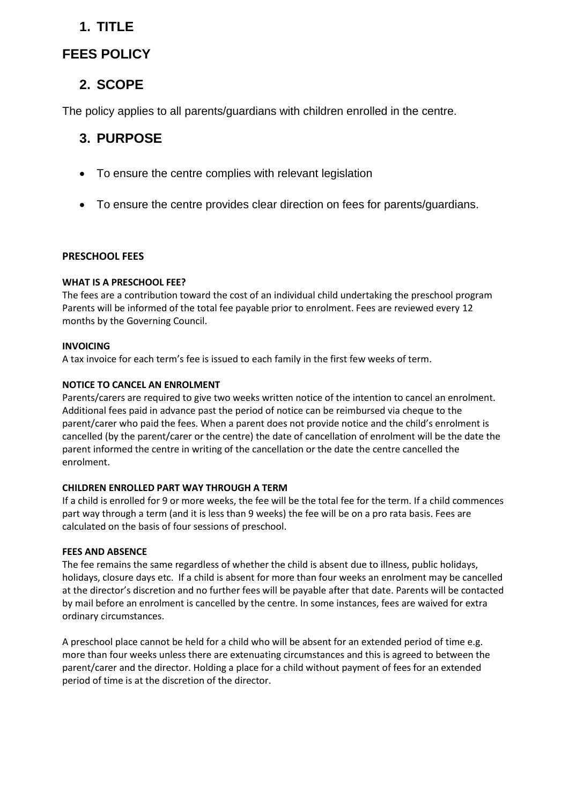# **1. TITLE**

# **FEES POLICY**

# **2. SCOPE**

The policy applies to all parents/guardians with children enrolled in the centre.

# **3. PURPOSE**

- To ensure the centre complies with relevant legislation
- To ensure the centre provides clear direction on fees for parents/guardians.

# **PRESCHOOL FEES**

# **WHAT IS A PRESCHOOL FEE?**

The fees are a contribution toward the cost of an individual child undertaking the preschool program Parents will be informed of the total fee payable prior to enrolment. Fees are reviewed every 12 months by the Governing Council.

# **INVOICING**

A tax invoice for each term's fee is issued to each family in the first few weeks of term.

# **NOTICE TO CANCEL AN ENROLMENT**

Parents/carers are required to give two weeks written notice of the intention to cancel an enrolment. Additional fees paid in advance past the period of notice can be reimbursed via cheque to the parent/carer who paid the fees. When a parent does not provide notice and the child's enrolment is cancelled (by the parent/carer or the centre) the date of cancellation of enrolment will be the date the parent informed the centre in writing of the cancellation or the date the centre cancelled the enrolment.

## **CHILDREN ENROLLED PART WAY THROUGH A TERM**

If a child is enrolled for 9 or more weeks, the fee will be the total fee for the term. If a child commences part way through a term (and it is less than 9 weeks) the fee will be on a pro rata basis. Fees are calculated on the basis of four sessions of preschool.

## **FEES AND ABSENCE**

The fee remains the same regardless of whether the child is absent due to illness, public holidays, holidays, closure days etc. If a child is absent for more than four weeks an enrolment may be cancelled at the director's discretion and no further fees will be payable after that date. Parents will be contacted by mail before an enrolment is cancelled by the centre. In some instances, fees are waived for extra ordinary circumstances.

A preschool place cannot be held for a child who will be absent for an extended period of time e.g. more than four weeks unless there are extenuating circumstances and this is agreed to between the parent/carer and the director. Holding a place for a child without payment of fees for an extended period of time is at the discretion of the director.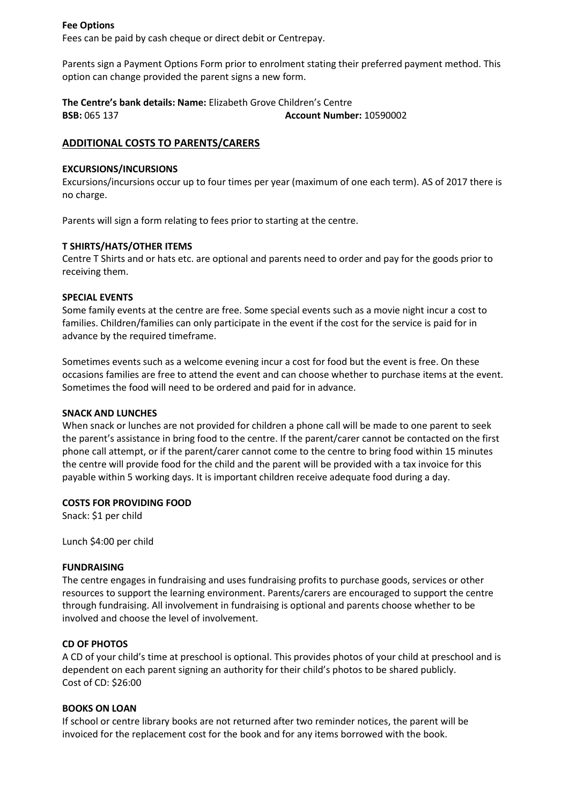## **Fee Options**

Fees can be paid by cash cheque or direct debit or Centrepay.

Parents sign a Payment Options Form prior to enrolment stating their preferred payment method. This option can change provided the parent signs a new form.

**The Centre's bank details: Name:** Elizabeth Grove Children's Centre **BSB:** 065 137 **Account Number:** 10590002

## **ADDITIONAL COSTS TO PARENTS/CARERS**

## **EXCURSIONS/INCURSIONS**

Excursions/incursions occur up to four times per year (maximum of one each term). AS of 2017 there is no charge.

Parents will sign a form relating to fees prior to starting at the centre.

## **T SHIRTS/HATS/OTHER ITEMS**

Centre T Shirts and or hats etc. are optional and parents need to order and pay for the goods prior to receiving them.

## **SPECIAL EVENTS**

Some family events at the centre are free. Some special events such as a movie night incur a cost to families. Children/families can only participate in the event if the cost for the service is paid for in advance by the required timeframe.

Sometimes events such as a welcome evening incur a cost for food but the event is free. On these occasions families are free to attend the event and can choose whether to purchase items at the event. Sometimes the food will need to be ordered and paid for in advance.

## **SNACK AND LUNCHES**

When snack or lunches are not provided for children a phone call will be made to one parent to seek the parent's assistance in bring food to the centre. If the parent/carer cannot be contacted on the first phone call attempt, or if the parent/carer cannot come to the centre to bring food within 15 minutes the centre will provide food for the child and the parent will be provided with a tax invoice for this payable within 5 working days. It is important children receive adequate food during a day.

## **COSTS FOR PROVIDING FOOD**

Snack: \$1 per child

Lunch \$4:00 per child

## **FUNDRAISING**

The centre engages in fundraising and uses fundraising profits to purchase goods, services or other resources to support the learning environment. Parents/carers are encouraged to support the centre through fundraising. All involvement in fundraising is optional and parents choose whether to be involved and choose the level of involvement.

## **CD OF PHOTOS**

A CD of your child's time at preschool is optional. This provides photos of your child at preschool and is dependent on each parent signing an authority for their child's photos to be shared publicly. Cost of CD: \$26:00

## **BOOKS ON LOAN**

If school or centre library books are not returned after two reminder notices, the parent will be invoiced for the replacement cost for the book and for any items borrowed with the book.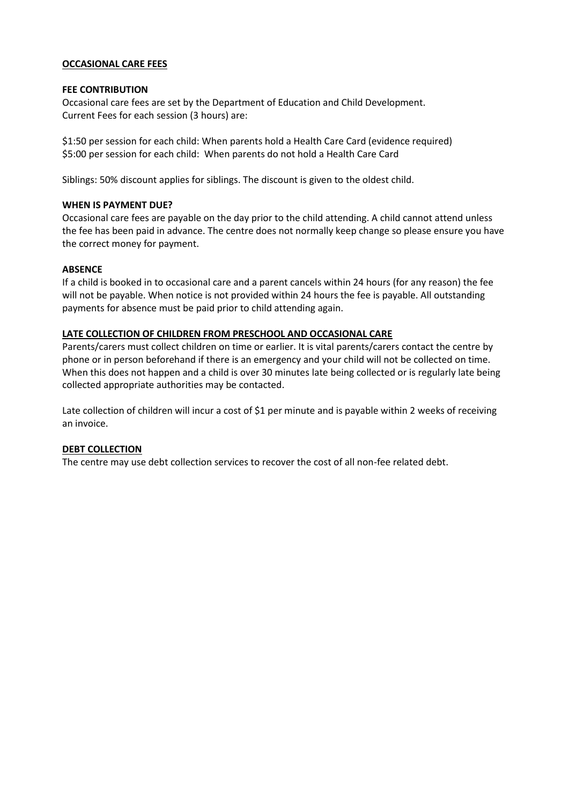## **OCCASIONAL CARE FEES**

#### **FEE CONTRIBUTION**

Occasional care fees are set by the Department of Education and Child Development. Current Fees for each session (3 hours) are:

\$1:50 per session for each child: When parents hold a Health Care Card (evidence required) \$5:00 per session for each child: When parents do not hold a Health Care Card

Siblings: 50% discount applies for siblings. The discount is given to the oldest child.

### **WHEN IS PAYMENT DUE?**

Occasional care fees are payable on the day prior to the child attending. A child cannot attend unless the fee has been paid in advance. The centre does not normally keep change so please ensure you have the correct money for payment.

## **ABSENCE**

If a child is booked in to occasional care and a parent cancels within 24 hours (for any reason) the fee will not be payable. When notice is not provided within 24 hours the fee is payable. All outstanding payments for absence must be paid prior to child attending again.

#### **LATE COLLECTION OF CHILDREN FROM PRESCHOOL AND OCCASIONAL CARE**

Parents/carers must collect children on time or earlier. It is vital parents/carers contact the centre by phone or in person beforehand if there is an emergency and your child will not be collected on time. When this does not happen and a child is over 30 minutes late being collected or is regularly late being collected appropriate authorities may be contacted.

Late collection of children will incur a cost of \$1 per minute and is payable within 2 weeks of receiving an invoice.

#### **DEBT COLLECTION**

The centre may use debt collection services to recover the cost of all non-fee related debt.